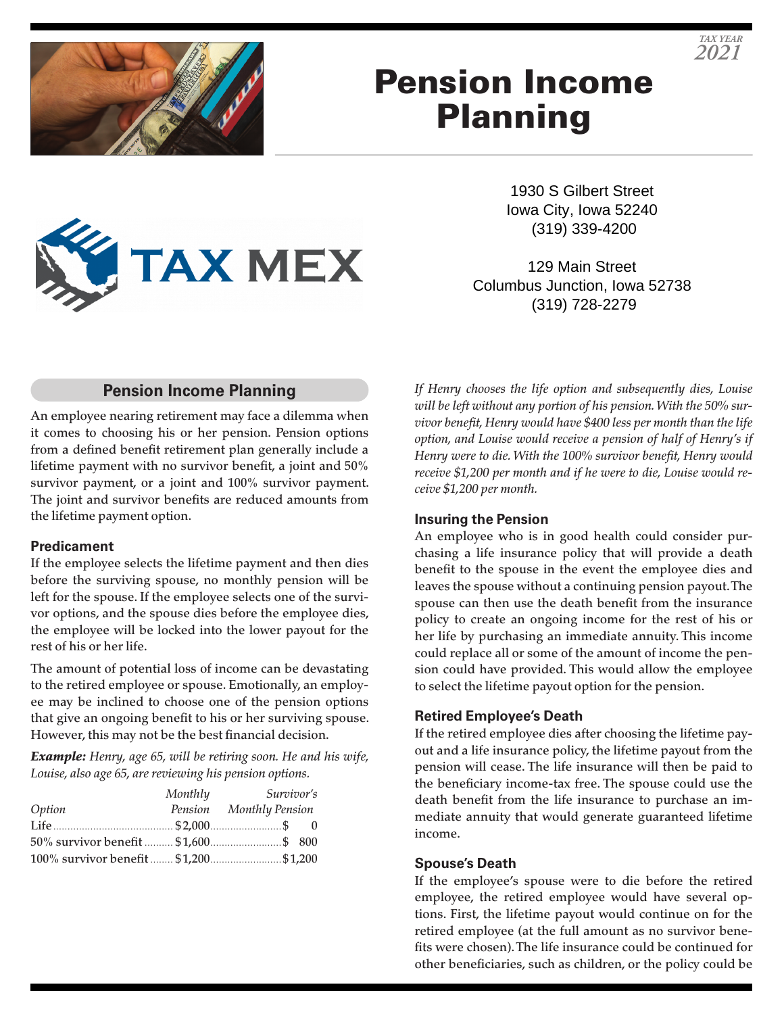

# Pension Income Planning

1930 S Gilbert Street Iowa City, Iowa 52240 (319) 339-4200

129 Main Street Columbus Junction, Iowa 52738 (319) 728-2279

### **Pension Income Planning**

**TAX MEX** 

An employee nearing retirement may face a dilemma when it comes to choosing his or her pension. Pension options from a defined benefit retirement plan generally include a lifetime payment with no survivor benefit, a joint and 50% survivor payment, or a joint and 100% survivor payment. The joint and survivor benefits are reduced amounts from the lifetime payment option.

### **Predicament**

If the employee selects the lifetime payment and then dies before the surviving spouse, no monthly pension will be left for the spouse. If the employee selects one of the survivor options, and the spouse dies before the employee dies, the employee will be locked into the lower payout for the rest of his or her life.

The amount of potential loss of income can be devastating to the retired employee or spouse. Emotionally, an employee may be inclined to choose one of the pension options that give an ongoing benefit to his or her surviving spouse. However, this may not be the best financial decision.

*Example: Henry, age 65, will be retiring soon. He and his wife, Louise, also age 65, are reviewing his pension options.*

|        | Monthly | <i>Survivor's</i>       |  |
|--------|---------|-------------------------|--|
| Option |         | Pension Monthly Pension |  |
|        |         |                         |  |
|        |         |                         |  |
|        |         |                         |  |

*If Henry chooses the life option and subsequently dies, Louise will be left without any portion of his pension. With the 50% survivor benefit, Henry would have \$400 less per month than the life option, and Louise would receive a pension of half of Henry's if Henry were to die. With the 100% survivor benefit, Henry would receive \$1,200 per month and if he were to die, Louise would receive \$1,200 per month.*

### **Insuring the Pension**

An employee who is in good health could consider purchasing a life insurance policy that will provide a death benefit to the spouse in the event the employee dies and leaves the spouse without a continuing pension payout. The spouse can then use the death benefit from the insurance policy to create an ongoing income for the rest of his or her life by purchasing an immediate annuity. This income could replace all or some of the amount of income the pension could have provided. This would allow the employee to select the lifetime payout option for the pension.

### **Retired Employee's Death**

If the retired employee dies after choosing the lifetime payout and a life insurance policy, the lifetime payout from the pension will cease. The life insurance will then be paid to the beneficiary income-tax free. The spouse could use the death benefit from the life insurance to purchase an immediate annuity that would generate guaranteed lifetime income.

### **Spouse's Death**

If the employee's spouse were to die before the retired employee, the retired employee would have several options. First, the lifetime payout would continue on for the retired employee (at the full amount as no survivor benefits were chosen). The life insurance could be continued for other beneficiaries, such as children, or the policy could be